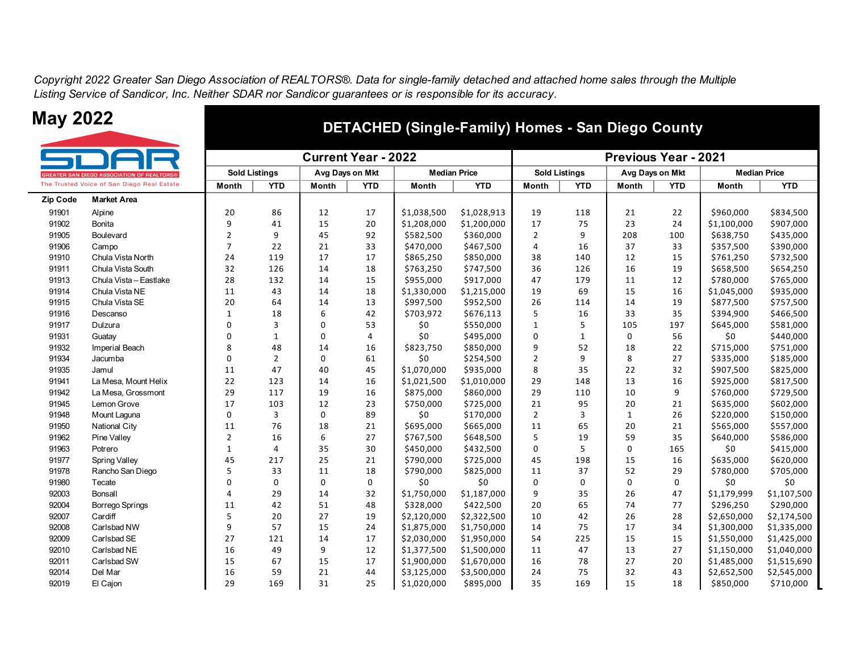*Copyright 2022 Greater San Diego Association of REALTORS®. Data for single-family detached and attached home sales through the Multiple Listing Service of Sandicor, Inc. Neither SDAR nor Sandicor guarantees or is responsible for its accuracy.*



### **May 2022 DETACHED (Single-Family) Homes - San Diego County**

|          |                                                   |                      |                | <b>Current Year - 2022</b> |                |                     |             | <b>Previous Year - 2021</b> |                      |              |                 |              |                     |
|----------|---------------------------------------------------|----------------------|----------------|----------------------------|----------------|---------------------|-------------|-----------------------------|----------------------|--------------|-----------------|--------------|---------------------|
|          | <b>GREATER SAN DIEGO ASSOCIATION OF REALTORS®</b> | <b>Sold Listings</b> |                | Avg Days on Mkt            |                | <b>Median Price</b> |             |                             | <b>Sold Listings</b> |              | Avg Days on Mkt |              | <b>Median Price</b> |
|          | The Trusted Voice of San Diego Real Estate        | Month                | <b>YTD</b>     | Month                      | <b>YTD</b>     | Month               | <b>YTD</b>  | Month                       | <b>YTD</b>           | Month        | <b>YTD</b>      | <b>Month</b> | <b>YTD</b>          |
| Zip Code | <b>Market Area</b>                                |                      |                |                            |                |                     |             |                             |                      |              |                 |              |                     |
| 91901    | Alpine                                            | 20                   | 86             | 12                         | 17             | \$1,038,500         | \$1,028,913 | 19                          | 118                  | 21           | 22              | \$960,000    | \$834,500           |
| 91902    | Bonita                                            | 9                    | 41             | 15                         | 20             | \$1,208,000         | \$1,200,000 | 17                          | 75                   | 23           | 24              | \$1,100,000  | \$907,000           |
| 91905    | Boulevard                                         | $\overline{2}$       | 9              | 45                         | 92             | \$582,500           | \$360,000   | $\overline{2}$              | 9                    | 208          | 100             | \$638,750    | \$435,000           |
| 91906    | Campo                                             | $\overline{7}$       | 22             | 21                         | 33             | \$470,000           | \$467,500   | $\overline{4}$              | 16                   | 37           | 33              | \$357,500    | \$390,000           |
| 91910    | Chula Vista North                                 | 24                   | 119            | 17                         | 17             | \$865,250           | \$850,000   | 38                          | 140                  | 12           | 15              | \$761,250    | \$732,500           |
| 91911    | Chula Vista South                                 | 32                   | 126            | 14                         | 18             | \$763,250           | \$747,500   | 36                          | 126                  | 16           | 19              | \$658,500    | \$654,250           |
| 91913    | Chula Vista - Eastlake                            | 28                   | 132            | 14                         | 15             | \$955,000           | \$917,000   | 47                          | 179                  | 11           | 12              | \$780,000    | \$765,000           |
| 91914    | Chula Vista NE                                    | 11                   | 43             | 14                         | 18             | \$1,330,000         | \$1,215,000 | 19                          | 69                   | 15           | 16              | \$1,045,000  | \$935,000           |
| 91915    | Chula Vista SE                                    | 20                   | 64             | 14                         | 13             | \$997,500           | \$952,500   | 26                          | 114                  | 14           | 19              | \$877,500    | \$757,500           |
| 91916    | Descanso                                          | $\mathbf{1}$         | 18             | 6                          | 42             | \$703,972           | \$676,113   | 5                           | 16                   | 33           | 35              | \$394,900    | \$466,500           |
| 91917    | Dulzura                                           | $\Omega$             | 3              | $\mathbf 0$                | 53             | \$0                 | \$550,000   | $\mathbf{1}$                | 5                    | 105          | 197             | \$645,000    | \$581,000           |
| 91931    | Guatay                                            | $\Omega$             | $\mathbf 1$    | $\mathbf 0$                | $\overline{4}$ | \$0                 | \$495,000   | $\mathbf 0$                 | $\mathbf{1}$         | 0            | 56              | \$0          | \$440,000           |
| 91932    | Imperial Beach                                    | 8                    | 48             | 14                         | 16             | \$823,750           | \$850,000   | 9                           | 52                   | 18           | 22              | \$715,000    | \$751,000           |
| 91934    | Jacumba                                           | $\Omega$             | $\overline{2}$ | $\mathbf 0$                | 61             | \$0                 | \$254,500   | $\overline{2}$              | 9                    | 8            | 27              | \$335,000    | \$185,000           |
| 91935    | Jamul                                             | 11                   | 47             | 40                         | 45             | \$1,070,000         | \$935,000   | 8                           | 35                   | 22           | 32              | \$907,500    | \$825,000           |
| 91941    | La Mesa, Mount Helix                              | 22                   | 123            | 14                         | 16             | \$1,021,500         | \$1,010,000 | 29                          | 148                  | 13           | 16              | \$925,000    | \$817,500           |
| 91942    | La Mesa, Grossmont                                | 29                   | 117            | 19                         | 16             | \$875,000           | \$860,000   | 29                          | 110                  | 10           | 9               | \$760,000    | \$729,500           |
| 91945    | Lemon Grove                                       | 17                   | 103            | 12                         | 23             | \$750,000           | \$725,000   | 21                          | 95                   | 20           | 21              | \$635,000    | \$602,000           |
| 91948    | Mount Laquna                                      | 0                    | 3              | $\mathbf 0$                | 89             | \$0                 | \$170,000   | $\overline{2}$              | 3                    | $\mathbf{1}$ | 26              | \$220,000    | \$150,000           |
| 91950    | National City                                     | 11                   | 76             | 18                         | 21             | \$695,000           | \$665,000   | 11                          | 65                   | 20           | 21              | \$565,000    | \$557,000           |
| 91962    | Pine Valley                                       | $\overline{2}$       | 16             | 6                          | 27             | \$767,500           | \$648,500   | 5                           | 19                   | 59           | 35              | \$640,000    | \$586,000           |
| 91963    | Potrero                                           | $\mathbf{1}$         | $\overline{4}$ | 35                         | 30             | \$450,000           | \$432,500   | $\mathbf 0$                 | 5                    | $\mathbf 0$  | 165             | \$0          | \$415,000           |
| 91977    | <b>Spring Valley</b>                              | 45                   | 217            | 25                         | 21             | \$790,000           | \$725,000   | 45                          | 198                  | 15           | 16              | \$635,000    | \$620,000           |
| 91978    | Rancho San Diego                                  | 5                    | 33             | 11                         | 18             | \$790,000           | \$825,000   | 11                          | 37                   | 52           | 29              | \$780,000    | \$705,000           |
| 91980    | Tecate                                            | $\Omega$             | $\mathbf 0$    | $\mathbf 0$                | 0              | \$0                 | \$0         | $\mathbf 0$                 | 0                    | $\mathbf 0$  | $\Omega$        | \$0          | \$0                 |
| 92003    | Bonsall                                           | 4                    | 29             | 14                         | 32             | \$1,750,000         | \$1,187,000 | 9                           | 35                   | 26           | 47              | \$1,179,999  | \$1,107,500         |
| 92004    | <b>Borrego Springs</b>                            | 11                   | 42             | 51                         | 48             | \$328,000           | \$422,500   | 20                          | 65                   | 74           | 77              | \$296,250    | \$290,000           |
| 92007    | Cardiff                                           | 5                    | 20             | 27                         | 19             | \$2,120,000         | \$2,322,500 | 10                          | 42                   | 26           | 28              | \$2,650,000  | \$2,174,500         |
| 92008    | Carlsbad NW                                       | 9                    | 57             | 15                         | 24             | \$1,875,000         | \$1,750,000 | 14                          | 75                   | 17           | 34              | \$1,300,000  | \$1,335,000         |
| 92009    | Carlsbad SE                                       | 27                   | 121            | 14                         | 17             | \$2,030,000         | \$1,950,000 | 54                          | 225                  | 15           | 15              | \$1,550,000  | \$1,425,000         |
| 92010    | Carlsbad NE                                       | 16                   | 49             | 9                          | 12             | \$1,377,500         | \$1,500,000 | 11                          | 47                   | 13           | 27              | \$1,150,000  | \$1,040,000         |
| 92011    | Carlsbad SW                                       | 15                   | 67             | 15                         | 17             | \$1,900,000         | \$1,670,000 | 16                          | 78                   | 27           | 20              | \$1,485,000  | \$1,515,690         |
| 92014    | Del Mar                                           | 16                   | 59             | 21                         | 44             | \$3,125,000         | \$3,500,000 | 24                          | 75                   | 32           | 43              | \$2,652,500  | \$2,545,000         |
| 92019    | El Cajon                                          | 29                   | 169            | 31                         | 25             | \$1,020,000         | \$895,000   | 35                          | 169                  | 15           | 18              | \$850,000    | \$710,000           |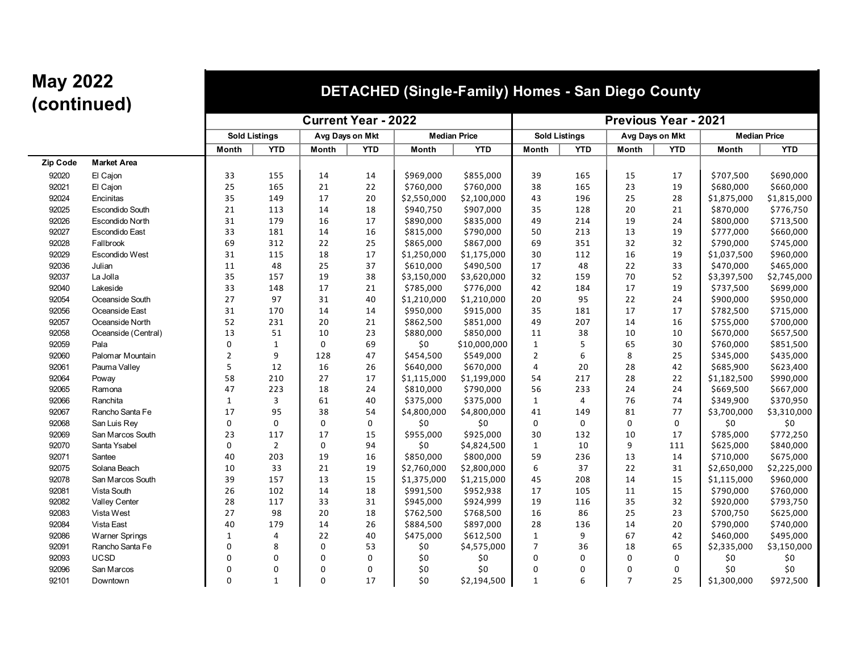### **(continued) DETACHED (Single-Family) Homes - San Diego County**

|          |                       |                |                      | <b>Current Year - 2022</b> |                 |             | <b>Previous Year - 2021</b> |                |                      |                 |             |                     |             |
|----------|-----------------------|----------------|----------------------|----------------------------|-----------------|-------------|-----------------------------|----------------|----------------------|-----------------|-------------|---------------------|-------------|
|          |                       |                | <b>Sold Listings</b> |                            | Avg Days on Mkt |             | <b>Median Price</b>         |                | <b>Sold Listings</b> | Avg Days on Mkt |             | <b>Median Price</b> |             |
|          |                       | Month          | <b>YTD</b>           | Month                      | <b>YTD</b>      | Month       | <b>YTD</b>                  | <b>Month</b>   | <b>YTD</b>           | Month           | <b>YTD</b>  | Month               | <b>YTD</b>  |
| Zip Code | <b>Market Area</b>    |                |                      |                            |                 |             |                             |                |                      |                 |             |                     |             |
| 92020    | El Cajon              | 33             | 155                  | 14                         | 14              | \$969,000   | \$855,000                   | 39             | 165                  | 15              | 17          | \$707,500           | \$690,000   |
| 92021    | El Cajon              | 25             | 165                  | 21                         | 22              | \$760,000   | \$760,000                   | 38             | 165                  | 23              | 19          | \$680,000           | \$660,000   |
| 92024    | Encinitas             | 35             | 149                  | 17                         | 20              | \$2,550,000 | \$2,100,000                 | 43             | 196                  | 25              | 28          | \$1,875,000         | \$1,815,000 |
| 92025    | Escondido South       | 21             | 113                  | 14                         | 18              | \$940,750   | \$907,000                   | 35             | 128                  | 20              | 21          | \$870,000           | \$776,750   |
| 92026    | Escondido North       | 31             | 179                  | 16                         | 17              | \$890,000   | \$835,000                   | 49             | 214                  | 19              | 24          | \$800,000           | \$713,500   |
| 92027    | <b>Escondido East</b> | 33             | 181                  | 14                         | 16              | \$815,000   | \$790,000                   | 50             | 213                  | 13              | 19          | \$777,000           | \$660,000   |
| 92028    | Fallbrook             | 69             | 312                  | 22                         | 25              | \$865,000   | \$867,000                   | 69             | 351                  | 32              | 32          | \$790,000           | \$745,000   |
| 92029    | Escondido West        | 31             | 115                  | 18                         | 17              | \$1,250,000 | \$1,175,000                 | 30             | 112                  | 16              | 19          | \$1,037,500         | \$960,000   |
| 92036    | Julian                | 11             | 48                   | 25                         | 37              | \$610,000   | \$490,500                   | 17             | 48                   | 22              | 33          | \$470,000           | \$465,000   |
| 92037    | La Jolla              | 35             | 157                  | 19                         | 38              | \$3,150,000 | \$3,620,000                 | 32             | 159                  | 70              | 52          | \$3,397,500         | \$2,745,000 |
| 92040    | Lakeside              | 33             | 148                  | 17                         | 21              | \$785,000   | \$776,000                   | 42             | 184                  | 17              | 19          | \$737,500           | \$699,000   |
| 92054    | Oceanside South       | 27             | 97                   | 31                         | 40              | \$1,210,000 | \$1,210,000                 | 20             | 95                   | 22              | 24          | \$900,000           | \$950,000   |
| 92056    | Oceanside East        | 31             | 170                  | 14                         | 14              | \$950,000   | \$915,000                   | 35             | 181                  | 17              | 17          | \$782,500           | \$715,000   |
| 92057    | Oceanside North       | 52             | 231                  | 20                         | 21              | \$862,500   | \$851,000                   | 49             | 207                  | 14              | 16          | \$755,000           | \$700,000   |
| 92058    | Oceanside (Central)   | 13             | 51                   | 10                         | 23              | \$880,000   | \$850,000                   | 11             | 38                   | 10              | 10          | \$670,000           | \$657,500   |
| 92059    | Pala                  | 0              | $\mathbf{1}$         | 0                          | 69              | \$0         | \$10,000,000                | $\mathbf{1}$   | 5                    | 65              | 30          | \$760,000           | \$851,500   |
| 92060    | Palomar Mountain      | $\overline{2}$ | 9                    | 128                        | 47              | \$454,500   | \$549,000                   | $\overline{2}$ | 6                    | 8               | 25          | \$345,000           | \$435,000   |
| 92061    | Pauma Valley          | 5              | 12                   | 16                         | 26              | \$640,000   | \$670,000                   | 4              | 20                   | 28              | 42          | \$685,900           | \$623,400   |
| 92064    | Poway                 | 58             | 210                  | 27                         | 17              | \$1,115,000 | \$1,199,000                 | 54             | 217                  | 28              | 22          | \$1,182,500         | \$990,000   |
| 92065    | Ramona                | 47             | 223                  | 18                         | 24              | \$810,000   | \$790,000                   | 56             | 233                  | 24              | 24          | \$669,500           | \$667,000   |
| 92066    | Ranchita              | $\mathbf{1}$   | 3                    | 61                         | 40              | \$375,000   | \$375,000                   | $\mathbf{1}$   | $\overline{4}$       | 76              | 74          | \$349,900           | \$370,950   |
| 92067    | Rancho Santa Fe       | 17             | 95                   | 38                         | 54              | \$4,800,000 | \$4,800,000                 | 41             | 149                  | 81              | 77          | \$3,700,000         | \$3,310,000 |
| 92068    | San Luis Rey          | $\mathbf 0$    | $\mathbf 0$          | $\mathsf 0$                | 0               | \$0         | \$0                         | 0              | 0                    | $\mathbf 0$     | 0           | \$0                 | \$0         |
| 92069    | San Marcos South      | 23             | 117                  | 17                         | 15              | \$955,000   | \$925,000                   | 30             | 132                  | 10              | 17          | \$785,000           | \$772,250   |
| 92070    | Santa Ysabel          | $\mathbf 0$    | $\overline{2}$       | 0                          | 94              | \$0         | \$4,824,500                 | $\mathbf{1}$   | 10                   | 9               | 111         | \$625,000           | \$840,000   |
| 92071    | Santee                | 40             | 203                  | 19                         | 16              | \$850,000   | \$800,000                   | 59             | 236                  | 13              | 14          | \$710,000           | \$675,000   |
| 92075    | Solana Beach          | 10             | 33                   | 21                         | 19              | \$2,760,000 | \$2,800,000                 | 6              | 37                   | 22              | 31          | \$2,650,000         | \$2,225,000 |
| 92078    | San Marcos South      | 39             | 157                  | 13                         | 15              | \$1,375,000 | \$1,215,000                 | 45             | 208                  | 14              | 15          | \$1,115,000         | \$960,000   |
| 92081    | Vista South           | 26             | 102                  | 14                         | 18              | \$991,500   | \$952,938                   | 17             | 105                  | 11              | 15          | \$790,000           | \$760,000   |
| 92082    | Valley Center         | 28             | 117                  | 33                         | 31              | \$945,000   | \$924,999                   | 19             | 116                  | 35              | 32          | \$920,000           | \$793,750   |
| 92083    | Vista West            | 27             | 98                   | 20                         | 18              | \$762,500   | \$768,500                   | 16             | 86                   | 25              | 23          | \$700,750           | \$625,000   |
| 92084    | Vista East            | 40             | 179                  | 14                         | 26              | \$884,500   | \$897,000                   | 28             | 136                  | 14              | 20          | \$790,000           | \$740,000   |
| 92086    | <b>Warner Springs</b> | $\mathbf{1}$   | $\overline{4}$       | 22                         | 40              | \$475,000   | \$612,500                   | $\mathbf{1}$   | 9                    | 67              | 42          | \$460,000           | \$495,000   |
| 92091    | Rancho Santa Fe       | $\Omega$       | 8                    | $\mathbf 0$                | 53              | \$0         | \$4,575,000                 | $\overline{7}$ | 36                   | 18              | 65          | \$2,335,000         | \$3,150,000 |
| 92093    | <b>UCSD</b>           | $\Omega$       | $\mathbf 0$          | $\Omega$                   | 0               | \$0         | \$0                         | $\Omega$       | 0                    | $\Omega$        | 0           | \$0                 | \$0         |
| 92096    | San Marcos            | $\Omega$       | $\mathbf 0$          | $\Omega$                   | 0               | \$0         | \$0                         | $\Omega$       | 0                    | $\mathbf 0$     | $\mathbf 0$ | \$0                 | \$0         |
| 92101    | Downtown              | $\mathbf 0$    | $\mathbf{1}$         | $\mathbf 0$                | 17              | \$0         | \$2,194,500                 | $\mathbf{1}$   | 6                    | $\overline{7}$  | 25          | \$1,300,000         | \$972,500   |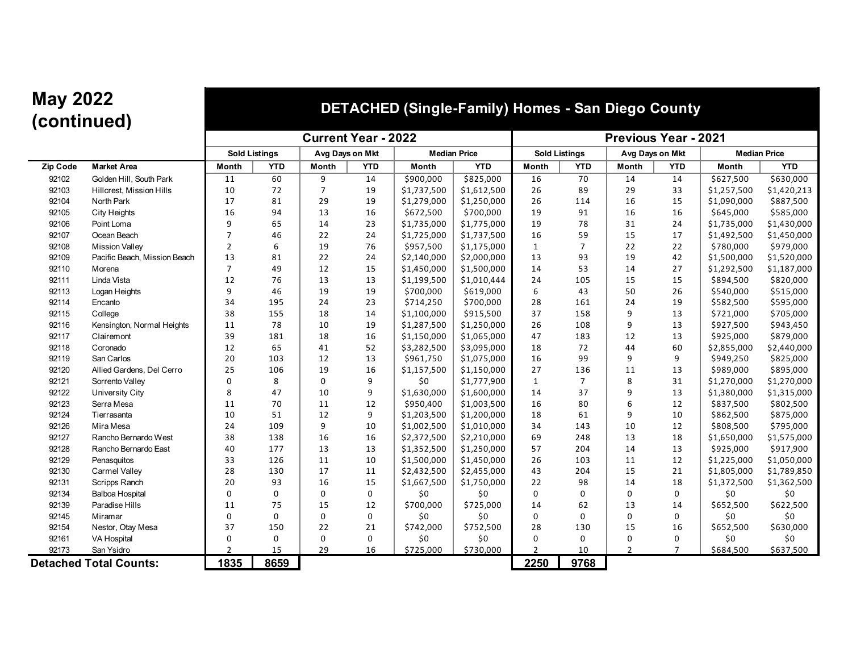#### **(continued) DETACHED (Single-Family) Homes - San Diego County**

|                 |                               |                |                      | <b>Current Year - 2022</b> |                 |             | <b>Previous Year - 2021</b> |                |                      |                 |                |                     |             |
|-----------------|-------------------------------|----------------|----------------------|----------------------------|-----------------|-------------|-----------------------------|----------------|----------------------|-----------------|----------------|---------------------|-------------|
|                 |                               |                | <b>Sold Listings</b> |                            | Avg Days on Mkt |             | <b>Median Price</b>         |                | <b>Sold Listings</b> | Avg Days on Mkt |                | <b>Median Price</b> |             |
| <b>Zip Code</b> | <b>Market Area</b>            | Month          | <b>YTD</b>           | Month                      | <b>YTD</b>      | Month       | <b>YTD</b>                  | <b>Month</b>   | <b>YTD</b>           | <b>Month</b>    | <b>YTD</b>     | Month               | <b>YTD</b>  |
| 92102           | Golden Hill, South Park       | 11             | 60                   | 9                          | 14              | \$900,000   | \$825,000                   | 16             | 70                   | 14              | 14             | \$627,500           | \$630,000   |
| 92103           | Hillcrest, Mission Hills      | 10             | 72                   | $\overline{7}$             | 19              | \$1,737,500 | \$1,612,500                 | 26             | 89                   | 29              | 33             | \$1,257,500         | \$1,420,213 |
| 92104           | North Park                    | 17             | 81                   | 29                         | 19              | \$1,279,000 | \$1,250,000                 | 26             | 114                  | 16              | 15             | \$1,090,000         | \$887,500   |
| 92105           | <b>City Heights</b>           | 16             | 94                   | 13                         | 16              | \$672,500   | \$700,000                   | 19             | 91                   | 16              | 16             | \$645,000           | \$585,000   |
| 92106           | Point Loma                    | 9              | 65                   | 14                         | 23              | \$1,735,000 | \$1,775,000                 | 19             | 78                   | 31              | 24             | \$1,735,000         | \$1,430,000 |
| 92107           | Ocean Beach                   | $\overline{7}$ | 46                   | 22                         | 24              | \$1,725,000 | \$1,737,500                 | 16             | 59                   | 15              | 17             | \$1,492,500         | \$1,450,000 |
| 92108           | <b>Mission Valley</b>         | $\overline{2}$ | 6                    | 19                         | 76              | \$957,500   | \$1,175,000                 | $\mathbf{1}$   | $\overline{7}$       | 22              | 22             | \$780,000           | \$979,000   |
| 92109           | Pacific Beach, Mission Beach  | 13             | 81                   | 22                         | 24              | \$2,140,000 | \$2,000,000                 | 13             | 93                   | 19              | 42             | \$1,500,000         | \$1,520,000 |
| 92110           | Morena                        | $\overline{7}$ | 49                   | 12                         | 15              | \$1,450,000 | \$1,500,000                 | 14             | 53                   | 14              | 27             | \$1,292,500         | \$1,187,000 |
| 92111           | Linda Vista                   | 12             | 76                   | 13                         | 13              | \$1,199,500 | \$1,010,444                 | 24             | 105                  | 15              | 15             | \$894,500           | \$820,000   |
| 92113           | Logan Heights                 | 9              | 46                   | 19                         | 19              | \$700,000   | \$619,000                   | 6              | 43                   | 50              | 26             | \$540,000           | \$515,000   |
| 92114           | Encanto                       | 34             | 195                  | 24                         | 23              | \$714,250   | \$700,000                   | 28             | 161                  | 24              | 19             | \$582,500           | \$595,000   |
| 92115           | College                       | 38             | 155                  | 18                         | 14              | \$1,100,000 | \$915,500                   | 37             | 158                  | $\mathbf{q}$    | 13             | \$721,000           | \$705,000   |
| 92116           | Kensington, Normal Heights    | 11             | 78                   | 10                         | 19              | \$1,287,500 | \$1,250,000                 | 26             | 108                  | 9               | 13             | \$927,500           | \$943,450   |
| 92117           | Clairemont                    | 39             | 181                  | 18                         | 16              | \$1,150,000 | \$1,065,000                 | 47             | 183                  | 12              | 13             | \$925,000           | \$879,000   |
| 92118           | Coronado                      | 12             | 65                   | 41                         | 52              | \$3,282,500 | \$3,095,000                 | 18             | 72                   | 44              | 60             | \$2,855,000         | \$2,440,000 |
| 92119           | San Carlos                    | 20             | 103                  | 12                         | 13              | \$961,750   | \$1,075,000                 | 16             | 99                   | 9               | 9              | \$949,250           | \$825,000   |
| 92120           | Allied Gardens, Del Cerro     | 25             | 106                  | 19                         | 16              | \$1,157,500 | \$1,150,000                 | 27             | 136                  | 11              | 13             | \$989,000           | \$895,000   |
| 92121           | Sorrento Valley               | $\mathbf 0$    | 8                    | 0                          | 9               | \$0         | \$1,777,900                 | $\mathbf{1}$   | $\overline{7}$       | 8               | 31             | \$1,270,000         | \$1,270,000 |
| 92122           | University City               | 8              | 47                   | 10                         | 9               | \$1,630,000 | \$1,600,000                 | 14             | 37                   | $\mathbf{q}$    | 13             | \$1,380,000         | \$1,315,000 |
| 92123           | Serra Mesa                    | 11             | 70                   | 11                         | 12              | \$950,400   | \$1,003,500                 | 16             | 80                   | 6               | 12             | \$837,500           | \$802,500   |
| 92124           | Tierrasanta                   | 10             | 51                   | 12                         | 9               | \$1,203,500 | \$1,200,000                 | 18             | 61                   | 9               | 10             | \$862,500           | \$875,000   |
| 92126           | Mira Mesa                     | 24             | 109                  | 9                          | 10              | \$1,002,500 | \$1,010,000                 | 34             | 143                  | 10              | 12             | \$808,500           | \$795,000   |
| 92127           | Rancho Bernardo West          | 38             | 138                  | 16                         | 16              | \$2,372,500 | \$2,210,000                 | 69             | 248                  | 13              | 18             | \$1,650,000         | \$1,575,000 |
| 92128           | Rancho Bernardo East          | 40             | 177                  | 13                         | 13              | \$1,352,500 | \$1,250,000                 | 57             | 204                  | 14              | 13             | \$925,000           | \$917,900   |
| 92129           | Penasquitos                   | 33             | 126                  | 11                         | 10              | \$1,500,000 | \$1,450,000                 | 26             | 103                  | 11              | 12             | \$1,225,000         | \$1,050,000 |
| 92130           | <b>Carmel Valley</b>          | 28             | 130                  | 17                         | 11              | \$2,432,500 | \$2,455,000                 | 43             | 204                  | 15              | 21             | \$1,805,000         | \$1,789,850 |
| 92131           | Scripps Ranch                 | 20             | 93                   | 16                         | 15              | \$1,667,500 | \$1,750,000                 | 22             | 98                   | 14              | 18             | \$1,372,500         | \$1,362,500 |
| 92134           | <b>Balboa Hospital</b>        | $\mathbf 0$    | 0                    | 0                          | 0               | \$0         | \$0                         | 0              | 0                    | $\mathbf 0$     | $\mathbf 0$    | \$0                 | \$0         |
| 92139           | Paradise Hills                | 11             | 75                   | 15                         | 12              | \$700,000   | \$725,000                   | 14             | 62                   | 13              | 14             | \$652,500           | \$622,500   |
| 92145           | Miramar                       | $\mathbf 0$    | $\Omega$             | 0                          | 0               | \$0         | \$0                         | 0              | 0                    | $\Omega$        | $\mathbf 0$    | \$0                 | \$0         |
| 92154           | Nestor, Otay Mesa             | 37             | 150                  | 22                         | 21              | \$742,000   | \$752,500                   | 28             | 130                  | 15              | 16             | \$652,500           | \$630,000   |
| 92161           | VA Hospital                   | $\Omega$       | $\mathbf 0$          | 0                          | 0               | \$0         | \$0                         | 0              | 0                    | $\mathbf 0$     | $\mathbf 0$    | \$0                 | \$0         |
| 92173           | San Ysidro                    | $\overline{2}$ | 15                   | 29                         | 16              | \$725,000   | \$730,000                   | $\overline{2}$ | 10                   | $\overline{2}$  | $\overline{7}$ | \$684,500           | \$637,500   |
|                 | <b>Detached Total Counts:</b> | 1835           | 8659                 |                            |                 |             |                             | 2250           | 9768                 |                 |                |                     |             |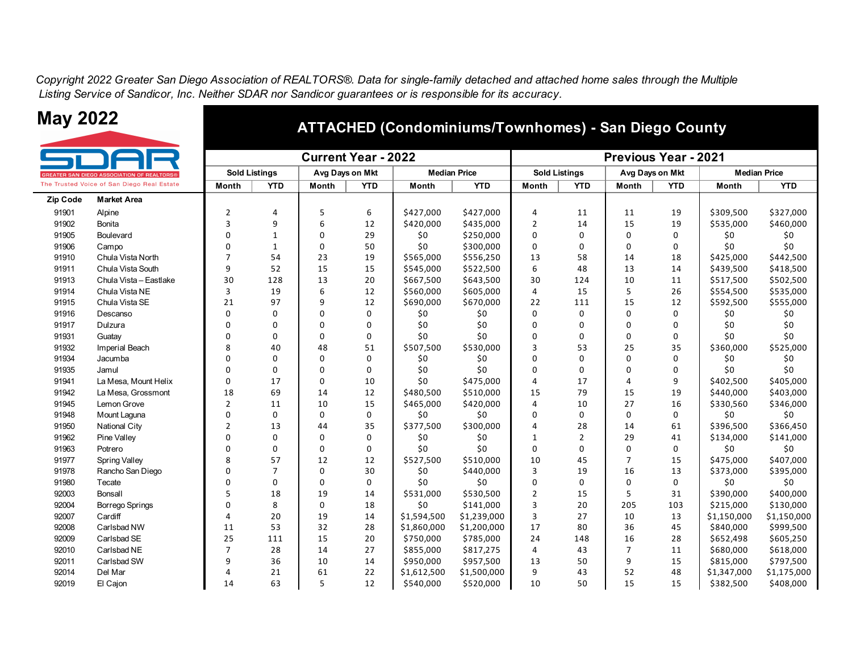*Copyright 2022 Greater San Diego Association of REALTORS®. Data for single-family detached and attached home sales through the Multiple Listing Service of Sandicor, Inc. Neither SDAR nor Sandicor guarantees or is responsible for its accuracy.*



 $Zip Code$ 



#### **ATTACHED (Condominiums/Townhomes) - San Diego County**

|        |                                                | <b>Current Year - 2022</b> |                |                 |            |             |                     | <b>Previous Year - 2021</b> |                      |                 |             |                     |             |  |
|--------|------------------------------------------------|----------------------------|----------------|-----------------|------------|-------------|---------------------|-----------------------------|----------------------|-----------------|-------------|---------------------|-------------|--|
|        | <b>ATER SAN DIEGO ASSOCIATION OF REALTORS®</b> | <b>Sold Listings</b>       |                | Avg Days on Mkt |            |             | <b>Median Price</b> |                             | <b>Sold Listings</b> | Avg Days on Mkt |             | <b>Median Price</b> |             |  |
|        | <b>Trusted Voice of San Diego Real Estate</b>  | Month                      | <b>YTD</b>     | Month           | <b>YTD</b> | Month       | <b>YTD</b>          | <b>Month</b>                | <b>YTD</b>           | Month           | <b>YTD</b>  | Month               | <b>YTD</b>  |  |
| p Code | <b>Market Area</b>                             |                            |                |                 |            |             |                     |                             |                      |                 |             |                     |             |  |
| 91901  | Alpine                                         | 2                          | 4              | 5               | 6          | \$427,000   | \$427,000           | 4                           | 11                   | 11              | 19          | \$309,500           | \$327,000   |  |
| 91902  | Bonita                                         | 3                          | 9              | 6               | 12         | \$420,000   | \$435,000           | $\overline{2}$              | 14                   | 15              | 19          | \$535,000           | \$460,000   |  |
| 91905  | Boulevard                                      | $\Omega$                   | $\mathbf{1}$   | O               | 29         | \$0         | \$250,000           | 0                           | 0                    | $\Omega$        | $\Omega$    | \$0                 | \$0         |  |
| 91906  | Campo                                          | 0                          | 1              | 0               | 50         | \$0         | \$300,000           | 0                           | 0                    | 0               | $\Omega$    | \$0                 | \$0         |  |
| 91910  | Chula Vista North                              | $\overline{7}$             | 54             | 23              | 19         | \$565,000   | \$556,250           | 13                          | 58                   | 14              | 18          | \$425,000           | \$442,500   |  |
| 91911  | Chula Vista South                              | 9                          | 52             | 15              | 15         | \$545,000   | \$522,500           | 6                           | 48                   | 13              | 14          | \$439,500           | \$418,500   |  |
| 91913  | Chula Vista - Eastlake                         | 30                         | 128            | 13              | 20         | \$667,500   | \$643,500           | 30                          | 124                  | 10              | 11          | \$517,500           | \$502,500   |  |
| 91914  | Chula Vista NE                                 | 3                          | 19             | 6               | 12         | \$560,000   | \$605,000           | 4                           | 15                   | 5               | 26          | \$554,500           | \$535,000   |  |
| 91915  | Chula Vista SE                                 | 21                         | 97             | 9               | 12         | \$690,000   | \$670,000           | 22                          | 111                  | 15              | 12          | \$592,500           | \$555,000   |  |
| 91916  | Descanso                                       | $\Omega$                   | 0              | ŋ               | 0          | \$0         | \$0                 | $\Omega$                    | 0                    | $\Omega$        | $\Omega$    | \$0                 | \$0         |  |
| 91917  | Dulzura                                        | n                          | 0              | $\Omega$        | 0          | \$0         | \$0                 | 0                           | 0                    | 0               | $\Omega$    | \$0                 | \$0         |  |
| 91931  | Guatay                                         | n                          | 0              | $\Omega$        | 0          | \$0         | \$0                 | ŋ                           | 0                    | 0               | $\Omega$    | \$0                 | \$0         |  |
| 91932  | Imperial Beach                                 | 8                          | 40             | 48              | 51         | \$507,500   | \$530,000           |                             | 53                   | 25              | 35          | \$360,000           | \$525,000   |  |
| 91934  | Jacumba                                        | ŋ                          | $\mathbf 0$    | O               | 0          | \$0         | \$0                 | ŋ                           | 0                    | $\Omega$        | $\Omega$    | \$0                 | \$0         |  |
| 91935  | Jamul                                          | $\Omega$                   | $\Omega$       | ŋ               | $\Omega$   | \$0         | \$0                 | $\Omega$                    | 0                    | $\Omega$        | $\Omega$    | \$0                 | \$0         |  |
| 91941  | La Mesa, Mount Helix                           | $\Omega$                   | 17             | 0               | 10         | \$0         | \$475,000           | 4                           | 17                   | 4               | 9           | \$402,500           | \$405,000   |  |
| 91942  | La Mesa, Grossmont                             | 18                         | 69             | 14              | 12         | \$480,500   | \$510,000           | 15                          | 79                   | 15              | 19          | \$440,000           | \$403,000   |  |
| 91945  | Lemon Grove                                    | 2                          | 11             | 10              | 15         | \$465,000   | \$420,000           | 4                           | 10                   | 27              | 16          | \$330,560           | \$346,000   |  |
| 91948  | Mount Laquna                                   | U                          | $\mathbf 0$    | 0               | 0          | \$0         | \$0                 | 0                           | 0                    | 0               | $\mathbf 0$ | \$0                 | \$0         |  |
| 91950  | National City                                  | 2                          | 13             | 44              | 35         | \$377,500   | \$300,000           |                             | 28                   | 14              | 61          | \$396,500           | \$366,450   |  |
| 91962  | Pine Valley                                    | $\Omega$                   | $\mathbf 0$    | $\Omega$        | 0          | \$0         | \$0                 | $\mathbf{1}$                | $\overline{2}$       | 29              | 41          | \$134,000           | \$141,000   |  |
| 91963  | Potrero                                        | 0                          | $\Omega$       | $\Omega$        | 0          | \$0         | \$0                 | 0                           | 0                    | $\Omega$        | $\Omega$    | \$0                 | \$0         |  |
| 91977  | <b>Spring Valley</b>                           | ጸ                          | 57             | 12              | 12         | \$527,500   | \$510,000           | 10                          | 45                   | $\overline{7}$  | 15          | \$475,000           | \$407,000   |  |
| 91978  | Rancho San Diego                               | U                          | $\overline{7}$ | $\Omega$        | 30         | \$0         | \$440,000           | 3                           | 19                   | 16              | 13          | \$373,000           | \$395,000   |  |
| 91980  | Tecate                                         | n                          | 0              | 0               | 0          | \$0         | \$0                 | O                           | 0                    | 0               | $\Omega$    | \$0                 | \$0         |  |
| 92003  | <b>Bonsall</b>                                 | 5                          | 18             | 19              | 14         | \$531,000   | \$530,500           | $\overline{2}$              | 15                   | 5               | 31          | \$390,000           | \$400,000   |  |
| 92004  | <b>Borrego Springs</b>                         | 0                          | 8              | 0               | 18         | \$0         | \$141,000           | 3                           | 20                   | 205             | 103         | \$215,000           | \$130,000   |  |
| 92007  | Cardiff                                        | 4                          | 20             | 19              | 14         | \$1,594,500 | \$1,239,000         | 3                           | 27                   | 10              | 13          | \$1,150,000         | \$1,150,000 |  |
| 92008  | Carlsbad NW                                    | 11                         | 53             | 32              | 28         | \$1,860,000 | \$1,200,000         | 17                          | 80                   | 36              | 45          | \$840,000           | \$999,500   |  |
| 92009  | Carlsbad SE                                    | 25                         | 111            | 15              | 20         | \$750,000   | \$785,000           | 24                          | 148                  | 16              | 28          | \$652,498           | \$605,250   |  |
| 92010  | Carlsbad NE                                    | 7                          | 28             | 14              | 27         | \$855,000   | \$817,275           | 4                           | 43                   | 7               | 11          | \$680,000           | \$618,000   |  |
| 92011  | Carlsbad SW                                    | 9                          | 36             | 10              | 14         | \$950,000   | \$957,500           | 13                          | 50                   | 9               | 15          | \$815,000           | \$797,500   |  |
| 92014  | Del Mar                                        | Δ                          | 21             | 61              | 22         | \$1,612,500 | \$1,500,000         | 9                           | 43                   | 52              | 48          | \$1,347,000         | \$1,175,000 |  |
| 92019  | El Cajon                                       | 14                         | 63             | 5               | 12         | \$540,000   | \$520,000           | 10                          | 50                   | 15              | 15          | \$382,500           | \$408,000   |  |
|        |                                                |                            |                |                 |            |             |                     |                             |                      |                 |             |                     |             |  |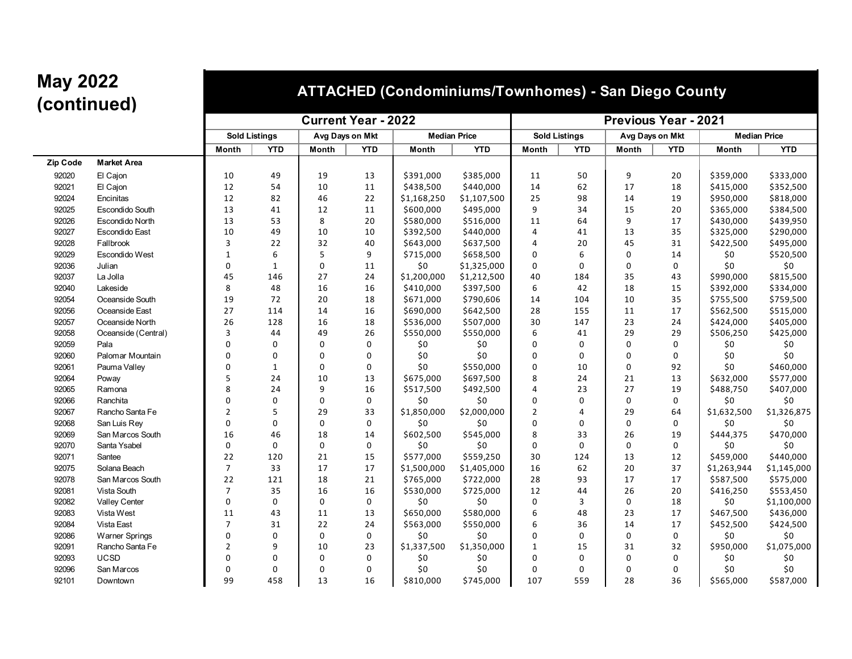### **(continued) ATTACHED (Condominiums/Townhomes) - San Diego County**

|          |                        | <b>Current Year - 2022</b> |              |                 |             |             |                     | <b>Previous Year - 2021</b> |                      |                 |             |             |                     |
|----------|------------------------|----------------------------|--------------|-----------------|-------------|-------------|---------------------|-----------------------------|----------------------|-----------------|-------------|-------------|---------------------|
|          |                        | <b>Sold Listings</b>       |              | Avg Days on Mkt |             |             | <b>Median Price</b> |                             | <b>Sold Listings</b> | Avg Days on Mkt |             |             | <b>Median Price</b> |
|          |                        | <b>Month</b>               | <b>YTD</b>   | Month           | <b>YTD</b>  | Month       | <b>YTD</b>          | Month                       | <b>YTD</b>           | Month           | <b>YTD</b>  | Month       | <b>YTD</b>          |
| Zip Code | <b>Market Area</b>     |                            |              |                 |             |             |                     |                             |                      |                 |             |             |                     |
| 92020    | El Cajon               | 10                         | 49           | 19              | 13          | \$391,000   | \$385,000           | 11                          | 50                   | 9               | 20          | \$359,000   | \$333,000           |
| 92021    | El Cajon               | 12                         | 54           | 10              | 11          | \$438,500   | \$440,000           | 14                          | 62                   | 17              | 18          | \$415,000   | \$352,500           |
| 92024    | Encinitas              | 12                         | 82           | 46              | 22          | \$1,168,250 | \$1,107,500         | 25                          | 98                   | 14              | 19          | \$950,000   | \$818,000           |
| 92025    | Escondido South        | 13                         | 41           | 12              | 11          | \$600,000   | \$495,000           | 9                           | 34                   | 15              | 20          | \$365,000   | \$384,500           |
| 92026    | <b>Escondido North</b> | 13                         | 53           | 8               | 20          | \$580,000   | \$516,000           | 11                          | 64                   | 9               | 17          | \$430,000   | \$439,950           |
| 92027    | <b>Escondido East</b>  | 10                         | 49           | 10              | 10          | \$392,500   | \$440,000           | $\overline{4}$              | 41                   | 13              | 35          | \$325,000   | \$290,000           |
| 92028    | Fallbrook              | 3                          | 22           | 32              | 40          | \$643,000   | \$637,500           | $\overline{4}$              | 20                   | 45              | 31          | \$422,500   | \$495,000           |
| 92029    | <b>Escondido West</b>  | $\mathbf{1}$               | 6            | 5               | 9           | \$715,000   | \$658,500           | $\mathbf 0$                 | 6                    | $\Omega$        | 14          | \$0         | \$520,500           |
| 92036    | Julian                 | 0                          | $\mathbf{1}$ | 0               | 11          | \$0         | \$1,325,000         | 0                           | 0                    | $\mathbf 0$     | 0           | \$0         | \$0                 |
| 92037    | La Jolla               | 45                         | 146          | 27              | 24          | \$1,200,000 | \$1,212,500         | 40                          | 184                  | 35              | 43          | \$990,000   | \$815,500           |
| 92040    | Lakeside               | 8                          | 48           | 16              | 16          | \$410,000   | \$397,500           | 6                           | 42                   | 18              | 15          | \$392,000   | \$334,000           |
| 92054    | Oceanside South        | 19                         | 72           | 20              | 18          | \$671,000   | \$790,606           | 14                          | 104                  | 10              | 35          | \$755,500   | \$759,500           |
| 92056    | Oceanside East         | 27                         | 114          | 14              | 16          | \$690,000   | \$642,500           | 28                          | 155                  | 11              | 17          | \$562,500   | \$515,000           |
| 92057    | Oceanside North        | 26                         | 128          | 16              | 18          | \$536,000   | \$507,000           | 30                          | 147                  | 23              | 24          | \$424,000   | \$405,000           |
| 92058    | Oceanside (Central)    | 3                          | 44           | 49              | 26          | \$550,000   | \$550,000           | 6                           | 41                   | 29              | 29          | \$506,250   | \$425,000           |
| 92059    | Pala                   | $\Omega$                   | 0            | 0               | 0           | \$0         | \$0                 | $\Omega$                    | $\mathbf 0$          | $\Omega$        | $\mathbf 0$ | $$0$$       | \$0                 |
| 92060    | Palomar Mountain       | 0                          | 0            | 0               | 0           | \$0         | \$0                 | $\mathbf 0$                 | 0                    | $\Omega$        | 0           | \$0         | \$0                 |
| 92061    | Pauma Valley           | 0                          | $\mathbf{1}$ | 0               | $\mathsf 0$ | \$0         | \$550,000           | $\Omega$                    | 10                   | $\Omega$        | 92          | \$0         | \$460,000           |
| 92064    | Poway                  | 5                          | 24           | 10              | 13          | \$675,000   | \$697,500           | 8                           | 24                   | 21              | 13          | \$632,000   | \$577,000           |
| 92065    | Ramona                 | 8                          | 24           | 9               | 16          | \$517,500   | \$492,500           | 4                           | 23                   | 27              | 19          | \$488,750   | \$407,000           |
| 92066    | Ranchita               | 0                          | 0            | 0               | 0           | \$0         | \$0                 | $\Omega$                    | 0                    | $\mathbf 0$     | 0           | \$0         | \$0                 |
| 92067    | Rancho Santa Fe        | $\overline{2}$             | 5            | 29              | 33          | \$1,850,000 | \$2,000,000         | $\overline{2}$              | $\overline{4}$       | 29              | 64          | \$1,632,500 | \$1,326,875         |
| 92068    | San Luis Rey           | $\mathbf 0$                | $\mathbf 0$  | 0               | $\mathsf 0$ | \$0         | \$0                 | $\Omega$                    | 0                    | $\mathbf 0$     | 0           | \$0         | \$0                 |
| 92069    | San Marcos South       | 16                         | 46           | 18              | 14          | \$602,500   | \$545,000           | 8                           | 33                   | 26              | 19          | \$444,375   | \$470,000           |
| 92070    | Santa Ysabel           | 0                          | 0            | 0               | 0           | \$0         | \$0                 | 0                           | $\mathbf 0$          | $\mathbf 0$     | 0           | \$0         | \$0                 |
| 92071    | Santee                 | 22                         | 120          | 21              | 15          | \$577,000   | \$559,250           | 30                          | 124                  | 13              | 12          | \$459,000   | \$440,000           |
| 92075    | Solana Beach           | $\overline{7}$             | 33           | 17              | 17          | \$1,500,000 | \$1,405,000         | 16                          | 62                   | 20              | 37          | \$1,263,944 | \$1,145,000         |
| 92078    | San Marcos South       | 22                         | 121          | 18              | 21          | \$765,000   | \$722,000           | 28                          | 93                   | 17              | 17          | \$587,500   | \$575,000           |
| 92081    | Vista South            | 7                          | 35           | 16              | 16          | \$530,000   | \$725,000           | 12                          | 44                   | 26              | 20          | \$416,250   | \$553,450           |
| 92082    | Valley Center          | 0                          | $\Omega$     | 0               | $\mathbf 0$ | \$0         | \$0                 | $\Omega$                    | 3                    | $\Omega$        | 18          | \$0         | \$1,100,000         |
| 92083    | Vista West             | 11                         | 43           | 11              | 13          | \$650,000   | \$580,000           | 6                           | 48                   | 23              | 17          | \$467,500   | \$436,000           |
| 92084    | Vista East             | $\overline{7}$             | 31           | 22              | 24          | \$563,000   | \$550,000           | 6                           | 36                   | 14              | 17          | \$452,500   | \$424,500           |
| 92086    | <b>Warner Springs</b>  | $\mathbf 0$                | $\mathbf 0$  | 0               | 0           | \$0         | \$0                 | 0                           | 0                    | $\mathbf 0$     | 0           | \$0         | \$0                 |
| 92091    | Rancho Santa Fe        | $\overline{2}$             | 9            | 10              | 23          | \$1,337,500 | \$1,350,000         | $\mathbf{1}$                | 15                   | 31              | 32          | \$950,000   | \$1,075,000         |
| 92093    | <b>UCSD</b>            | 0                          | $\mathbf 0$  | 0               | 0           | \$0         | \$0                 | $\Omega$                    | 0                    | $\Omega$        | 0           | \$0         | \$0                 |
| 92096    | San Marcos             | $\mathbf 0$                | $\mathbf 0$  | 0               | $\mathbf 0$ | \$0         | \$0                 | $\Omega$                    | $\mathbf 0$          | $\Omega$        | $\mathbf 0$ | \$0         | \$0                 |
| 92101    | Downtown               | 99                         | 458          | 13              | 16          | \$810,000   | \$745,000           | 107                         | 559                  | 28              | 36          | \$565,000   | \$587,000           |